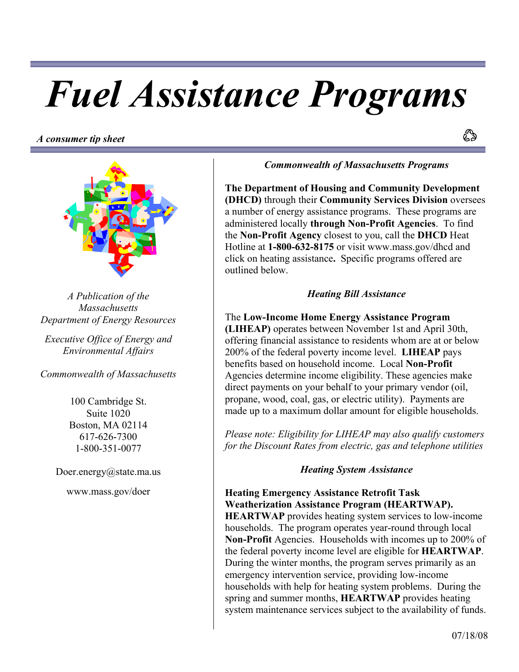# *Fuel Assistance Programs*

*A consumer tip sheet*



*A Publication of the Massachusetts Department of Energy Resources* 

*Executive Office of Energy and Environmental Affairs* 

*Commonwealth of Massachusetts*

100 Cambridge St. Suite 1020 Boston, MA 02114 617-626-7300 1-800-351-0077

Doer.energy@state.ma.us

www.mass.gov/doer

*Commonwealth of Massachusetts Programs* 

**The Department of Housing and Community Development (DHCD)** through their **Community Services Division** oversees a number of energy assistance programs. These programs are administered locally **through Non-Profit Agencies**. To find the **Non-Profit Agency** closest to you, call the **DHCD** Heat Hotline at **1-800-632-8175** or visit www.mass.gov/dhcd and click on heating assistance**.** Specific programs offered are outlined below.

## *Heating Bill Assistance*

The **Low-Income Home Energy Assistance Program (LIHEAP)** operates between November 1st and April 30th, offering financial assistance to residents whom are at or below 200% of the federal poverty income level. **LIHEAP** pays benefits based on household income. Local **Non-Profit** Agencies determine income eligibility. These agencies make direct payments on your behalf to your primary vendor (oil, propane, wood, coal, gas, or electric utility). Payments are made up to a maximum dollar amount for eligible households.

*Please note: Eligibility for LIHEAP may also qualify customers for the Discount Rates from electric, gas and telephone utilities* 

#### *Heating System Assistance*

**Heating Emergency Assistance Retrofit Task Weatherization Assistance Program (HEARTWAP). HEARTWAP** provides heating system services to low-income households. The program operates year-round through local **Non-Profit** Agencies. Households with incomes up to 200% of the federal poverty income level are eligible for **HEARTWAP**. During the winter months, the program serves primarily as an emergency intervention service, providing low-income households with help for heating system problems. During the spring and summer months, **HEARTWAP** provides heating system maintenance services subject to the availability of funds.